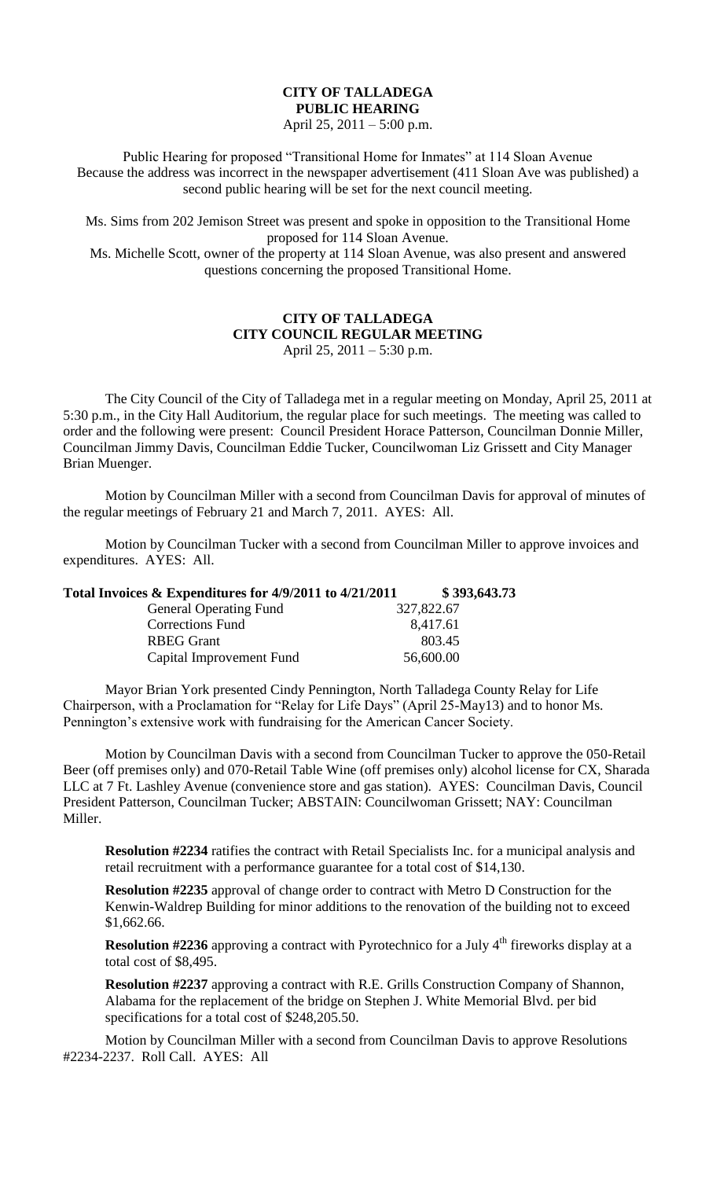## **CITY OF TALLADEGA PUBLIC HEARING**

April 25, 2011 – 5:00 p.m.

Public Hearing for proposed "Transitional Home for Inmates" at 114 Sloan Avenue Because the address was incorrect in the newspaper advertisement (411 Sloan Ave was published) a second public hearing will be set for the next council meeting.

Ms. Sims from 202 Jemison Street was present and spoke in opposition to the Transitional Home proposed for 114 Sloan Avenue.

Ms. Michelle Scott, owner of the property at 114 Sloan Avenue, was also present and answered questions concerning the proposed Transitional Home.

## **CITY OF TALLADEGA CITY COUNCIL REGULAR MEETING** April 25, 2011 – 5:30 p.m.

The City Council of the City of Talladega met in a regular meeting on Monday, April 25, 2011 at 5:30 p.m., in the City Hall Auditorium, the regular place for such meetings. The meeting was called to order and the following were present: Council President Horace Patterson, Councilman Donnie Miller, Councilman Jimmy Davis, Councilman Eddie Tucker, Councilwoman Liz Grissett and City Manager Brian Muenger.

Motion by Councilman Miller with a second from Councilman Davis for approval of minutes of the regular meetings of February 21 and March 7, 2011. AYES: All.

Motion by Councilman Tucker with a second from Councilman Miller to approve invoices and expenditures. AYES: All.

**Total Invoices & Expenditures for 4/9/2011 to 4/21/2011 \$ 393,643.73**

| <b>General Operating Fund</b> | 327,822.67 |
|-------------------------------|------------|
| <b>Corrections Fund</b>       | 8,417.61   |
| <b>RBEG</b> Grant             | 803.45     |
| Capital Improvement Fund      | 56,600.00  |

Mayor Brian York presented Cindy Pennington, North Talladega County Relay for Life Chairperson, with a Proclamation for "Relay for Life Days" (April 25-May13) and to honor Ms. Pennington's extensive work with fundraising for the American Cancer Society.

Motion by Councilman Davis with a second from Councilman Tucker to approve the 050-Retail Beer (off premises only) and 070-Retail Table Wine (off premises only) alcohol license for CX, Sharada LLC at 7 Ft. Lashley Avenue (convenience store and gas station). AYES: Councilman Davis, Council President Patterson, Councilman Tucker; ABSTAIN: Councilwoman Grissett; NAY: Councilman Miller.

**Resolution #2234** ratifies the contract with Retail Specialists Inc. for a municipal analysis and retail recruitment with a performance guarantee for a total cost of \$14,130.

**Resolution #2235** approval of change order to contract with Metro D Construction for the Kenwin-Waldrep Building for minor additions to the renovation of the building not to exceed \$1,662.66.

**Resolution #2236** approving a contract with Pyrotechnico for a July 4<sup>th</sup> fireworks display at a total cost of \$8,495.

**Resolution #2237** approving a contract with R.E. Grills Construction Company of Shannon, Alabama for the replacement of the bridge on Stephen J. White Memorial Blvd. per bid specifications for a total cost of \$248,205.50.

Motion by Councilman Miller with a second from Councilman Davis to approve Resolutions #2234-2237. Roll Call. AYES: All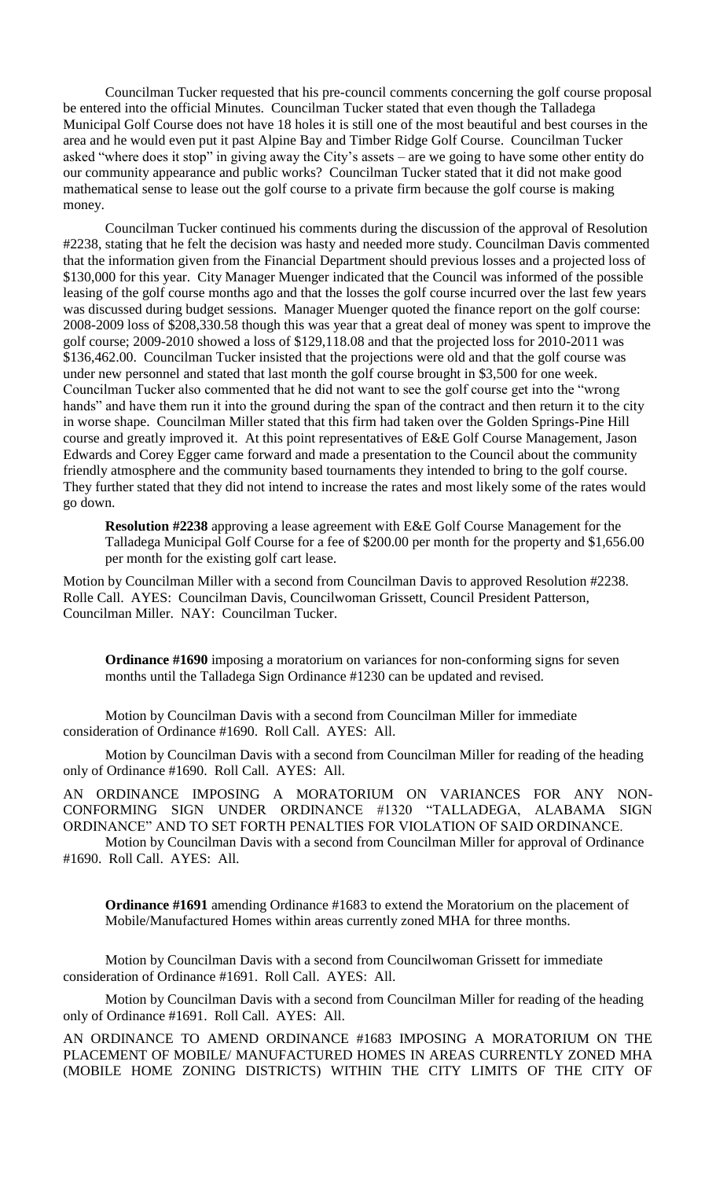Councilman Tucker requested that his pre-council comments concerning the golf course proposal be entered into the official Minutes. Councilman Tucker stated that even though the Talladega Municipal Golf Course does not have 18 holes it is still one of the most beautiful and best courses in the area and he would even put it past Alpine Bay and Timber Ridge Golf Course. Councilman Tucker asked "where does it stop" in giving away the City's assets – are we going to have some other entity do our community appearance and public works? Councilman Tucker stated that it did not make good mathematical sense to lease out the golf course to a private firm because the golf course is making money.

Councilman Tucker continued his comments during the discussion of the approval of Resolution #2238, stating that he felt the decision was hasty and needed more study. Councilman Davis commented that the information given from the Financial Department should previous losses and a projected loss of \$130,000 for this year. City Manager Muenger indicated that the Council was informed of the possible leasing of the golf course months ago and that the losses the golf course incurred over the last few years was discussed during budget sessions. Manager Muenger quoted the finance report on the golf course: 2008-2009 loss of \$208,330.58 though this was year that a great deal of money was spent to improve the golf course; 2009-2010 showed a loss of \$129,118.08 and that the projected loss for 2010-2011 was \$136,462.00. Councilman Tucker insisted that the projections were old and that the golf course was under new personnel and stated that last month the golf course brought in \$3,500 for one week. Councilman Tucker also commented that he did not want to see the golf course get into the "wrong hands" and have them run it into the ground during the span of the contract and then return it to the city in worse shape. Councilman Miller stated that this firm had taken over the Golden Springs-Pine Hill course and greatly improved it. At this point representatives of E&E Golf Course Management, Jason Edwards and Corey Egger came forward and made a presentation to the Council about the community friendly atmosphere and the community based tournaments they intended to bring to the golf course. They further stated that they did not intend to increase the rates and most likely some of the rates would go down.

**Resolution #2238** approving a lease agreement with E&E Golf Course Management for the Talladega Municipal Golf Course for a fee of \$200.00 per month for the property and \$1,656.00 per month for the existing golf cart lease.

Motion by Councilman Miller with a second from Councilman Davis to approved Resolution #2238. Rolle Call. AYES: Councilman Davis, Councilwoman Grissett, Council President Patterson, Councilman Miller. NAY: Councilman Tucker.

**Ordinance #1690** imposing a moratorium on variances for non-conforming signs for seven months until the Talladega Sign Ordinance #1230 can be updated and revised.

Motion by Councilman Davis with a second from Councilman Miller for immediate consideration of Ordinance #1690. Roll Call. AYES: All.

Motion by Councilman Davis with a second from Councilman Miller for reading of the heading only of Ordinance #1690. Roll Call. AYES: All.

AN ORDINANCE IMPOSING A MORATORIUM ON VARIANCES FOR ANY NON-CONFORMING SIGN UNDER ORDINANCE #1320 "TALLADEGA, ALABAMA SIGN ORDINANCE" AND TO SET FORTH PENALTIES FOR VIOLATION OF SAID ORDINANCE.

Motion by Councilman Davis with a second from Councilman Miller for approval of Ordinance #1690. Roll Call. AYES: All.

**Ordinance #1691** amending Ordinance #1683 to extend the Moratorium on the placement of Mobile/Manufactured Homes within areas currently zoned MHA for three months.

Motion by Councilman Davis with a second from Councilwoman Grissett for immediate consideration of Ordinance #1691. Roll Call. AYES: All.

Motion by Councilman Davis with a second from Councilman Miller for reading of the heading only of Ordinance #1691. Roll Call. AYES: All.

AN ORDINANCE TO AMEND ORDINANCE #1683 IMPOSING A MORATORIUM ON THE PLACEMENT OF MOBILE/ MANUFACTURED HOMES IN AREAS CURRENTLY ZONED MHA (MOBILE HOME ZONING DISTRICTS) WITHIN THE CITY LIMITS OF THE CITY OF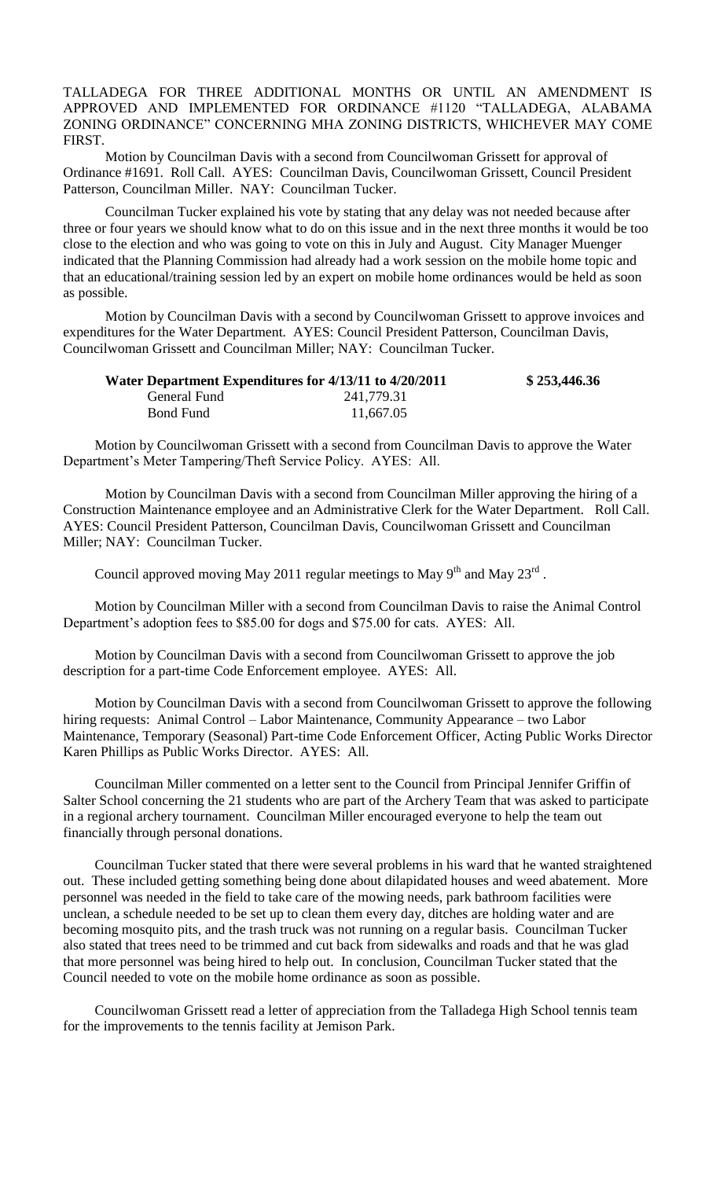TALLADEGA FOR THREE ADDITIONAL MONTHS OR UNTIL AN AMENDMENT IS APPROVED AND IMPLEMENTED FOR ORDINANCE #1120 "TALLADEGA, ALABAMA ZONING ORDINANCE" CONCERNING MHA ZONING DISTRICTS, WHICHEVER MAY COME FIRST.

Motion by Councilman Davis with a second from Councilwoman Grissett for approval of Ordinance #1691. Roll Call. AYES: Councilman Davis, Councilwoman Grissett, Council President Patterson, Councilman Miller. NAY: Councilman Tucker.

Councilman Tucker explained his vote by stating that any delay was not needed because after three or four years we should know what to do on this issue and in the next three months it would be too close to the election and who was going to vote on this in July and August. City Manager Muenger indicated that the Planning Commission had already had a work session on the mobile home topic and that an educational/training session led by an expert on mobile home ordinances would be held as soon as possible.

Motion by Councilman Davis with a second by Councilwoman Grissett to approve invoices and expenditures for the Water Department. AYES: Council President Patterson, Councilman Davis, Councilwoman Grissett and Councilman Miller; NAY: Councilman Tucker.

| Water Department Expenditures for 4/13/11 to 4/20/2011 |            | \$253,446.36 |
|--------------------------------------------------------|------------|--------------|
| General Fund                                           | 241,779.31 |              |
| Bond Fund                                              | 11,667.05  |              |

Motion by Councilwoman Grissett with a second from Councilman Davis to approve the Water Department's Meter Tampering/Theft Service Policy. AYES: All.

Motion by Councilman Davis with a second from Councilman Miller approving the hiring of a Construction Maintenance employee and an Administrative Clerk for the Water Department. Roll Call. AYES: Council President Patterson, Councilman Davis, Councilwoman Grissett and Councilman Miller; NAY: Councilman Tucker.

Council approved moving May 2011 regular meetings to May  $9<sup>th</sup>$  and May  $23<sup>rd</sup>$ .

Motion by Councilman Miller with a second from Councilman Davis to raise the Animal Control Department's adoption fees to \$85.00 for dogs and \$75.00 for cats. AYES: All.

Motion by Councilman Davis with a second from Councilwoman Grissett to approve the job description for a part-time Code Enforcement employee. AYES: All.

Motion by Councilman Davis with a second from Councilwoman Grissett to approve the following hiring requests: Animal Control – Labor Maintenance, Community Appearance – two Labor Maintenance, Temporary (Seasonal) Part-time Code Enforcement Officer, Acting Public Works Director Karen Phillips as Public Works Director. AYES: All.

Councilman Miller commented on a letter sent to the Council from Principal Jennifer Griffin of Salter School concerning the 21 students who are part of the Archery Team that was asked to participate in a regional archery tournament. Councilman Miller encouraged everyone to help the team out financially through personal donations.

Councilman Tucker stated that there were several problems in his ward that he wanted straightened out. These included getting something being done about dilapidated houses and weed abatement. More personnel was needed in the field to take care of the mowing needs, park bathroom facilities were unclean, a schedule needed to be set up to clean them every day, ditches are holding water and are becoming mosquito pits, and the trash truck was not running on a regular basis. Councilman Tucker also stated that trees need to be trimmed and cut back from sidewalks and roads and that he was glad that more personnel was being hired to help out. In conclusion, Councilman Tucker stated that the Council needed to vote on the mobile home ordinance as soon as possible.

Councilwoman Grissett read a letter of appreciation from the Talladega High School tennis team for the improvements to the tennis facility at Jemison Park.